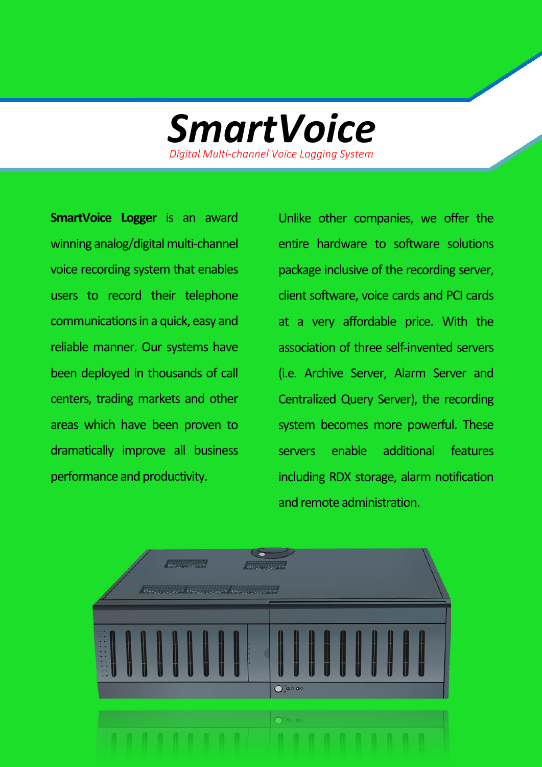

**SmartVoice Logger** is an award winning analog/digital multi-channel voice recording system that enables users to record their telephone communications in a quick, easy and reliable manner. Our systems have been deployed in thousands of call centers, trading markets and other areas which have been proven to dramatically improve all business performance and productivity.

Unlike other companies, we offer the entire hardware to software solutions package inclusive of the recording server, client software, voice cards and PCI cards at a very affordable price. With the association of three self-invented servers (i.e. Archive Server, Alarm Server and Centralized Query Server), the recording system becomes more powerful. These servers enable additional features including RDX storage, alarm notification and remote administration.

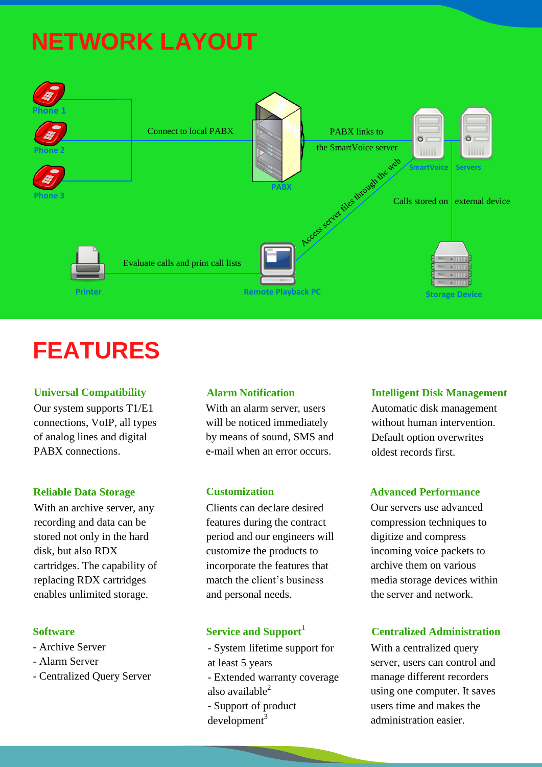# **NETWORK LAYOUT**



## **FEATURES**

#### **Universal Compatibility**

Our system supports T1/E1 connections, VoIP, all types of analog lines and digital PABX connections.

#### **Reliable Data Storage**

With an archive server, any recording and data can be stored not only in the hard disk, but also RDX cartridges. The capability of replacing RDX cartridges enables unlimited storage.

- Archive Server
- Alarm Server
- Centralized Query Server

With an alarm server, users will be noticed immediately by means of sound, SMS and e-mail when an error occurs.

#### **Customization**

Clients can declare desired features during the contract period and our engineers will customize the products to incorporate the features that match the client's business and personal needs.

### **Software Service and Support**<sup>1</sup>

- System lifetime support for at least 5 years

- Extended warranty coverage also available $<sup>2</sup>$ </sup>

- Support of product  $development<sup>3</sup>$ 

### **Alarm Notification Intelligent Disk Management**

Automatic disk management without human intervention. Default option overwrites oldest records first.

#### **Advanced Performance**

Our servers use advanced compression techniques to digitize and compress incoming voice packets to archive them on various media storage devices within the server and network.

### **Centralized Administration**

With a centralized query server, users can control and manage different recorders using one computer. It saves users time and makes the administration easier.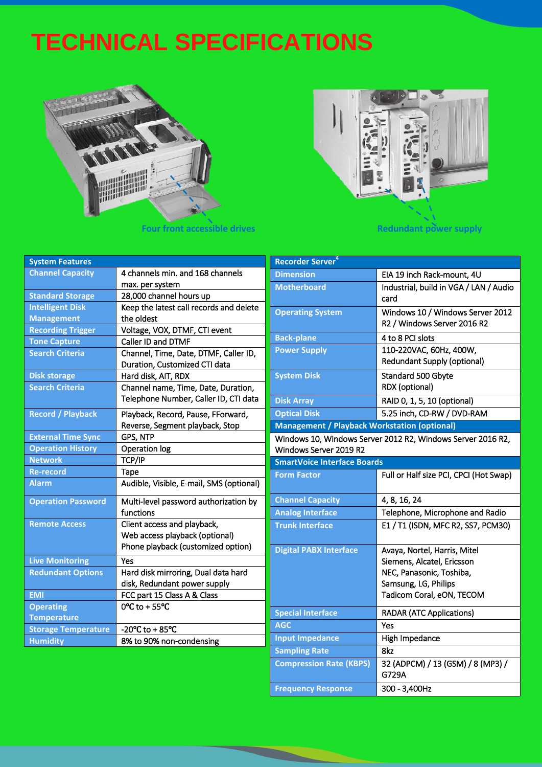## **TECHNICAL SPECIFICATIONS**



**Four front accessible drives** *Redundant power supply* 



| <b>System Features</b>     |                                          | <b>Recorder Server<sup>4</sup></b>                          |                                                     |  |
|----------------------------|------------------------------------------|-------------------------------------------------------------|-----------------------------------------------------|--|
| <b>Channel Capacity</b>    | 4 channels min. and 168 channels         | <b>Dimension</b>                                            | EIA 19 inch Rack-mount, 4U                          |  |
|                            | max. per system                          | <b>Motherboard</b>                                          | Industrial, build in VGA / LAN / Audio              |  |
| <b>Standard Storage</b>    | 28,000 channel hours up                  |                                                             | card                                                |  |
| <b>Intelligent Disk</b>    | Keep the latest call records and delete  | <b>Operating System</b>                                     | Windows 10 / Windows Server 2012                    |  |
| <b>Management</b>          | the oldest                               |                                                             | R2 / Windows Server 2016 R2                         |  |
| <b>Recording Trigger</b>   | Voltage, VOX, DTMF, CTI event            | <b>Back-plane</b>                                           | 4 to 8 PCI slots                                    |  |
| <b>Tone Capture</b>        | Caller ID and DTMF                       | <b>Power Supply</b>                                         | 110-220VAC, 60Hz, 400W,                             |  |
| <b>Search Criteria</b>     | Channel, Time, Date, DTMF, Caller ID,    |                                                             | <b>Redundant Supply (optional)</b>                  |  |
|                            | Duration, Customized CTI data            |                                                             |                                                     |  |
| <b>Disk storage</b>        | Hard disk, AIT, RDX                      | <b>System Disk</b>                                          | Standard 500 Gbyte                                  |  |
| <b>Search Criteria</b>     | Channel name, Time, Date, Duration,      |                                                             | RDX (optional)                                      |  |
|                            | Telephone Number, Caller ID, CTI data    | <b>Disk Array</b>                                           | RAID 0, 1, 5, 10 (optional)                         |  |
| <b>Record / Playback</b>   | Playback, Record, Pause, FForward,       | <b>Optical Disk</b>                                         | 5.25 inch, CD-RW / DVD-RAM                          |  |
|                            | Reverse, Segment playback, Stop          |                                                             | <b>Management / Playback Workstation (optional)</b> |  |
| <b>External Time Sync</b>  | GPS, NTP                                 | Windows 10, Windows Server 2012 R2, Windows Server 2016 R2, |                                                     |  |
| <b>Operation History</b>   | Operation log                            | Windows Server 2019 R2                                      |                                                     |  |
| <b>Network</b>             | TCP/IP                                   | <b>SmartVoice Interface Boards</b>                          |                                                     |  |
| <b>Re-record</b>           | Tape                                     | <b>Form Factor</b>                                          | Full or Half size PCI, CPCI (Hot Swap)              |  |
| <b>Alarm</b>               | Audible, Visible, E-mail, SMS (optional) |                                                             |                                                     |  |
| <b>Operation Password</b>  | Multi-level password authorization by    | <b>Channel Capacity</b>                                     | 4, 8, 16, 24                                        |  |
|                            | functions                                | <b>Analog Interface</b>                                     | Telephone, Microphone and Radio                     |  |
| <b>Remote Access</b>       | Client access and playback,              | <b>Trunk Interface</b>                                      | E1 / T1 (ISDN, MFC R2, SS7, PCM30)                  |  |
|                            | Web access playback (optional)           |                                                             |                                                     |  |
|                            | Phone playback (customized option)       | <b>Digital PABX Interface</b>                               | Avaya, Nortel, Harris, Mitel                        |  |
| <b>Live Monitoring</b>     | Yes                                      |                                                             | Siemens, Alcatel, Ericsson                          |  |
| <b>Redundant Options</b>   | Hard disk mirroring, Dual data hard      |                                                             | NEC, Panasonic, Toshiba,                            |  |
|                            | disk, Redundant power supply             |                                                             | Samsung, LG, Philips                                |  |
| <b>EMI</b>                 | FCC part 15 Class A & Class              |                                                             | Tadicom Coral, eON, TECOM                           |  |
| <b>Operating</b>           | 0°C to + 55°C                            | <b>Special Interface</b>                                    | <b>RADAR (ATC Applications)</b>                     |  |
| <b>Temperature</b>         |                                          |                                                             |                                                     |  |
| <b>Storage Temperature</b> | -20°C to +85°C                           | <b>AGC</b>                                                  | Yes                                                 |  |
| <b>Humidity</b>            | 8% to 90% non-condensing                 | <b>Input Impedance</b>                                      | High Impedance                                      |  |
|                            |                                          | <b>Sampling Rate</b>                                        | 8kz                                                 |  |
|                            |                                          | <b>Compression Rate (KBPS)</b>                              | 32 (ADPCM) / 13 (GSM) / 8 (MP3) /<br>G729A          |  |
|                            |                                          | <b>Frequency Response</b>                                   | 300 - 3,400Hz                                       |  |

 $\overline{\phantom{0}}$